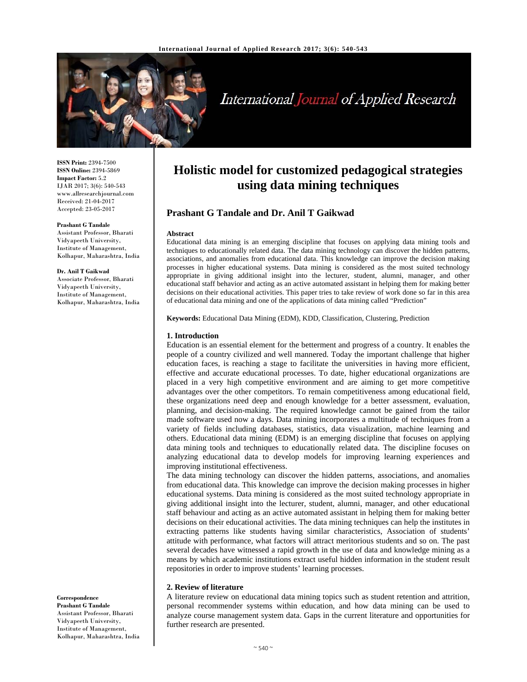

# International Journal of Applied Research

**ISSN Print:** 2394-7500 **ISSN Online:** 2394-5869 **Impact Factor:** 5.2 IJAR 2017; 3(6): 540-543 www.allresearchjournal.com Received: 21-04-2017 Accepted: 23-05-2017

#### **Prashant G Tandale**

Assistant Professor, Bharati Vidyapeeth University, Institute of Management, Kolhapur, Maharashtra, India

#### **Dr. Anil T Gaikwad**

Associate Professor, Bharati Vidyapeeth University, Institute of Management, Kolhapur, Maharashtra, India

**Correspondence Prashant G Tandale**  Assistant Professor, Bharati Vidyapeeth University, Institute of Management, Kolhapur, Maharashtra, India

# **Holistic model for customized pedagogical strategies using data mining techniques**

### **Prashant G Tandale and Dr. Anil T Gaikwad**

#### **Abstract**

Educational data mining is an emerging discipline that focuses on applying data mining tools and techniques to educationally related data. The data mining technology can discover the hidden patterns, associations, and anomalies from educational data. This knowledge can improve the decision making processes in higher educational systems. Data mining is considered as the most suited technology appropriate in giving additional insight into the lecturer, student, alumni, manager, and other educational staff behavior and acting as an active automated assistant in helping them for making better decisions on their educational activities. This paper tries to take review of work done so far in this area of educational data mining and one of the applications of data mining called "Prediction"

**Keywords:** Educational Data Mining (EDM), KDD, Classification, Clustering, Prediction

#### **1. Introduction**

Education is an essential element for the betterment and progress of a country. It enables the people of a country civilized and well mannered. Today the important challenge that higher education faces, is reaching a stage to facilitate the universities in having more efficient, effective and accurate educational processes. To date, higher educational organizations are placed in a very high competitive environment and are aiming to get more competitive advantages over the other competitors. To remain competitiveness among educational field, these organizations need deep and enough knowledge for a better assessment, evaluation, planning, and decision-making. The required knowledge cannot be gained from the tailor made software used now a days. Data mining incorporates a multitude of techniques from a variety of fields including databases, statistics, data visualization, machine learning and others. Educational data mining (EDM) is an emerging discipline that focuses on applying data mining tools and techniques to educationally related data. The discipline focuses on analyzing educational data to develop models for improving learning experiences and improving institutional effectiveness.

The data mining technology can discover the hidden patterns, associations, and anomalies from educational data. This knowledge can improve the decision making processes in higher educational systems. Data mining is considered as the most suited technology appropriate in giving additional insight into the lecturer, student, alumni, manager, and other educational staff behaviour and acting as an active automated assistant in helping them for making better decisions on their educational activities. The data mining techniques can help the institutes in extracting patterns like students having similar characteristics, Association of students' attitude with performance, what factors will attract meritorious students and so on. The past several decades have witnessed a rapid growth in the use of data and knowledge mining as a means by which academic institutions extract useful hidden information in the student result repositories in order to improve students' learning processes.

#### **2. Review of literature**

A literature review on educational data mining topics such as student retention and attrition, personal recommender systems within education, and how data mining can be used to analyze course management system data. Gaps in the current literature and opportunities for further research are presented.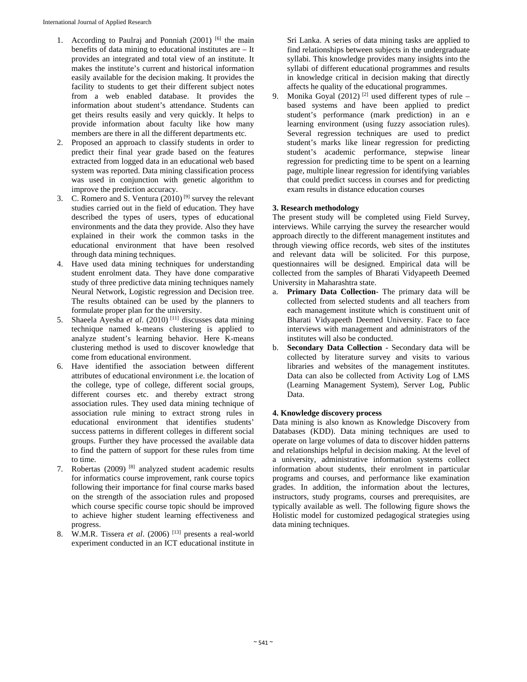- 1. According to Paulraj and Ponniah (2001) [6] the main benefits of data mining to educational institutes are – It provides an integrated and total view of an institute. It makes the institute's current and historical information easily available for the decision making. It provides the facility to students to get their different subject notes from a web enabled database. It provides the information about student's attendance. Students can get theirs results easily and very quickly. It helps to provide information about faculty like how many members are there in all the different departments etc.
- 2. Proposed an approach to classify students in order to predict their final year grade based on the features extracted from logged data in an educational web based system was reported. Data mining classification process was used in conjunction with genetic algorithm to improve the prediction accuracy.
- 3. C. Romero and S. Ventura  $(2010)^{9}$  survey the relevant studies carried out in the field of education. They have described the types of users, types of educational environments and the data they provide. Also they have explained in their work the common tasks in the educational environment that have been resolved through data mining techniques.
- 4. Have used data mining techniques for understanding student enrolment data. They have done comparative study of three predictive data mining techniques namely Neural Network, Logistic regression and Decision tree. The results obtained can be used by the planners to formulate proper plan for the university.
- 5. Shaeela Ayesha *et al*. (2010) [11] discusses data mining technique named k-means clustering is applied to analyze student's learning behavior. Here K-means clustering method is used to discover knowledge that come from educational environment.
- 6. Have identified the association between different attributes of educational environment i.e. the location of the college, type of college, different social groups, different courses etc. and thereby extract strong association rules. They used data mining technique of association rule mining to extract strong rules in educational environment that identifies students' success patterns in different colleges in different social groups. Further they have processed the available data to find the pattern of support for these rules from time to time.
- 7. Robertas (2009) [8] analyzed student academic results for informatics course improvement, rank course topics following their importance for final course marks based on the strength of the association rules and proposed which course specific course topic should be improved to achieve higher student learning effectiveness and progress.
- 8. W.M.R. Tissera *et al.* (2006) <sup>[13]</sup> presents a real-world experiment conducted in an ICT educational institute in

Sri Lanka. A series of data mining tasks are applied to find relationships between subjects in the undergraduate syllabi. This knowledge provides many insights into the syllabi of different educational programmes and results in knowledge critical in decision making that directly affects he quality of the educational programmes.

9. Monika Goyal  $(2012)$ <sup>[2]</sup> used different types of rule – based systems and have been applied to predict student's performance (mark prediction) in an e learning environment (using fuzzy association rules). Several regression techniques are used to predict student's marks like linear regression for predicting student's academic performance, stepwise linear regression for predicting time to be spent on a learning page, multiple linear regression for identifying variables that could predict success in courses and for predicting exam results in distance education courses

## **3. Research methodology**

The present study will be completed using Field Survey, interviews. While carrying the survey the researcher would approach directly to the different management institutes and through viewing office records, web sites of the institutes and relevant data will be solicited. For this purpose, questionnaires will be designed. Empirical data will be collected from the samples of Bharati Vidyapeeth Deemed University in Maharashtra state.

- a. **Primary Data Collection** The primary data will be collected from selected students and all teachers from each management institute which is constituent unit of Bharati Vidyapeeth Deemed University. Face to face interviews with management and administrators of the institutes will also be conducted.
- b. **Secondary Data Collection** Secondary data will be collected by literature survey and visits to various libraries and websites of the management institutes. Data can also be collected from Activity Log of LMS (Learning Management System), Server Log, Public Data.

# **4. Knowledge discovery process**

Data mining is also known as Knowledge Discovery from Databases (KDD). Data mining techniques are used to operate on large volumes of data to discover hidden patterns and relationships helpful in decision making. At the level of a university, administrative information systems collect information about students, their enrolment in particular programs and courses, and performance like examination grades. In addition, the information about the lectures, instructors, study programs, courses and prerequisites, are typically available as well. The following figure shows the Holistic model for customized pedagogical strategies using data mining techniques.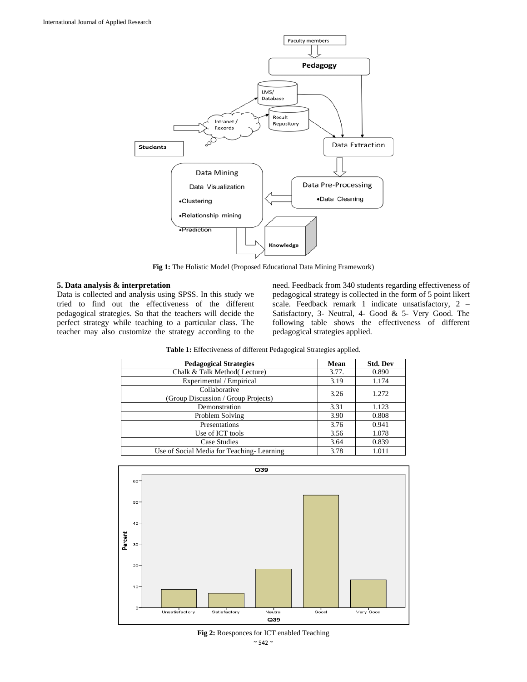

**Fig 1:** The Holistic Model (Proposed Educational Data Mining Framework)

#### **5. Data analysis & interpretation**

Data is collected and analysis using SPSS. In this study we tried to find out the effectiveness of the different pedagogical strategies. So that the teachers will decide the perfect strategy while teaching to a particular class. The teacher may also customize the strategy according to the need. Feedback from 340 students regarding effectiveness of pedagogical strategy is collected in the form of 5 point likert scale. Feedback remark 1 indicate unsatisfactory, 2 – Satisfactory, 3- Neutral, 4- Good & 5- Very Good. The following table shows the effectiveness of different pedagogical strategies applied.

| Table 1: Effectiveness of different Pedagogical Strategies applied. |
|---------------------------------------------------------------------|
|---------------------------------------------------------------------|

| <b>Pedagogical Strategies</b>                        | Mean  | <b>Std. Dev</b> |
|------------------------------------------------------|-------|-----------------|
| Chalk & Talk Method (Lecture)                        | 3.77. | 0.890           |
| Experimental / Empirical                             | 3.19  | 1.174           |
| Collaborative<br>(Group Discussion / Group Projects) | 3.26  | 1.272           |
| Demonstration                                        | 3.31  | 1.123           |
| Problem Solving                                      | 3.90  | 0.808           |
| Presentations                                        | 3.76  | 0.941           |
| Use of ICT tools                                     | 3.56  | 1.078           |
| Case Studies                                         | 3.64  | 0.839           |
| Use of Social Media for Teaching-Learning            | 3.78  | 1.011           |



**Fig 2:** Roesponces for ICT enabled Teaching